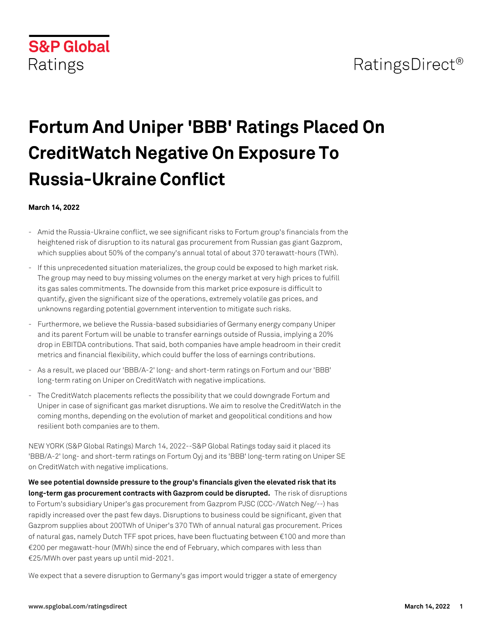

## RatingsDirect<sup>®</sup>

# **Fortum And Uniper 'BBB' Ratings Placed On CreditWatch Negative On Exposure To Russia-Ukraine Conflict**

#### **March 14, 2022**

- Amid the Russia-Ukraine conflict, we see significant risks to Fortum group's financials from the heightened risk of disruption to its natural gas procurement from Russian gas giant Gazprom, which supplies about 50% of the company's annual total of about 370 terawatt-hours (TWh).
- If this unprecedented situation materializes, the group could be exposed to high market risk. The group may need to buy missing volumes on the energy market at very high prices to fulfill its gas sales commitments. The downside from this market price exposure is difficult to quantify, given the significant size of the operations, extremely volatile gas prices, and unknowns regarding potential government intervention to mitigate such risks.
- Furthermore, we believe the Russia-based subsidiaries of Germany energy company Uniper and its parent Fortum will be unable to transfer earnings outside of Russia, implying a 20% drop in EBITDA contributions. That said, both companies have ample headroom in their credit metrics and financial flexibility, which could buffer the loss of earnings contributions.
- As a result, we placed our 'BBB/A-2' long- and short-term ratings on Fortum and our 'BBB' long-term rating on Uniper on CreditWatch with negative implications.
- The CreditWatch placements reflects the possibility that we could downgrade Fortum and Uniper in case of significant gas market disruptions. We aim to resolve the CreditWatch in the coming months, depending on the evolution of market and geopolitical conditions and how resilient both companies are to them.

NEW YORK (S&P Global Ratings) March 14, 2022--S&P Global Ratings today said it placed its 'BBB/A-2' long- and short-term ratings on Fortum Oyj and its 'BBB' long-term rating on Uniper SE on CreditWatch with negative implications.

**We see potential downside pressure to the group's financials given the elevated risk that its long-term gas procurement contracts with Gazprom could be disrupted.** The risk of disruptions to Fortum's subsidiary Uniper's gas procurement from Gazprom PJSC (CCC-/Watch Neg/--) has rapidly increased over the past few days. Disruptions to business could be significant, given that Gazprom supplies about 200TWh of Uniper's 370 TWh of annual natural gas procurement. Prices of natural gas, namely Dutch TFF spot prices, have been fluctuating between €100 and more than €200 per megawatt-hour (MWh) since the end of February, which compares with less than €25/MWh over past years up until mid-2021.

We expect that a severe disruption to Germany's gas import would trigger a state of emergency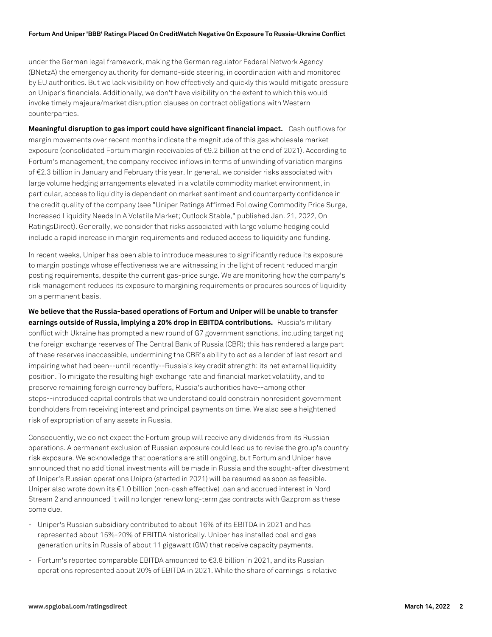#### **Fortum And Uniper 'BBB' Ratings Placed On CreditWatch Negative On Exposure To Russia-Ukraine Conflict**

under the German legal framework, making the German regulator Federal Network Agency (BNetzA) the emergency authority for demand-side steering, in coordination with and monitored by EU authorities. But we lack visibility on how effectively and quickly this would mitigate pressure on Uniper's financials. Additionally, we don't have visibility on the extent to which this would invoke timely majeure/market disruption clauses on contract obligations with Western counterparties.

**Meaningful disruption to gas import could have significant financial impact.** Cash outflows for margin movements over recent months indicate the magnitude of this gas wholesale market exposure (consolidated Fortum margin receivables of €9.2 billion at the end of 2021). According to Fortum's management, the company received inflows in terms of unwinding of variation margins of €2.3 billion in January and February this year. In general, we consider risks associated with large volume hedging arrangements elevated in a volatile commodity market environment, in particular, access to liquidity is dependent on market sentiment and counterparty confidence in the credit quality of the company (see "Uniper Ratings Affirmed Following Commodity Price Surge, Increased Liquidity Needs In A Volatile Market; Outlook Stable," published Jan. 21, 2022, On RatingsDirect). Generally, we consider that risks associated with large volume hedging could include a rapid increase in margin requirements and reduced access to liquidity and funding.

In recent weeks, Uniper has been able to introduce measures to significantly reduce its exposure to margin postings whose effectiveness we are witnessing in the light of recent reduced margin posting requirements, despite the current gas-price surge. We are monitoring how the company's risk management reduces its exposure to margining requirements or procures sources of liquidity on a permanent basis.

**We believe that the Russia-based operations of Fortum and Uniper will be unable to transfer earnings outside of Russia, implying a 20% drop in EBITDA contributions.** Russia's military conflict with Ukraine has prompted a new round of G7 government sanctions, including targeting the foreign exchange reserves of The Central Bank of Russia (CBR); this has rendered a large part of these reserves inaccessible, undermining the CBR's ability to act as a lender of last resort and impairing what had been--until recently--Russia's key credit strength: its net external liquidity position. To mitigate the resulting high exchange rate and financial market volatility, and to preserve remaining foreign currency buffers, Russia's authorities have--among other steps--introduced capital controls that we understand could constrain nonresident government bondholders from receiving interest and principal payments on time. We also see a heightened risk of expropriation of any assets in Russia.

Consequently, we do not expect the Fortum group will receive any dividends from its Russian operations. A permanent exclusion of Russian exposure could lead us to revise the group's country risk exposure. We acknowledge that operations are still ongoing, but Fortum and Uniper have announced that no additional investments will be made in Russia and the sought-after divestment of Uniper's Russian operations Unipro (started in 2021) will be resumed as soon as feasible. Uniper also wrote down its €1.0 billion (non-cash effective) loan and accrued interest in Nord Stream 2 and announced it will no longer renew long-term gas contracts with Gazprom as these come due.

- Uniper's Russian subsidiary contributed to about 16% of its EBITDA in 2021 and has represented about 15%-20% of EBITDA historically. Uniper has installed coal and gas generation units in Russia of about 11 gigawatt (GW) that receive capacity payments.
- Fortum's reported comparable EBITDA amounted to  $\epsilon$ 3.8 billion in 2021, and its Russian operations represented about 20% of EBITDA in 2021. While the share of earnings is relative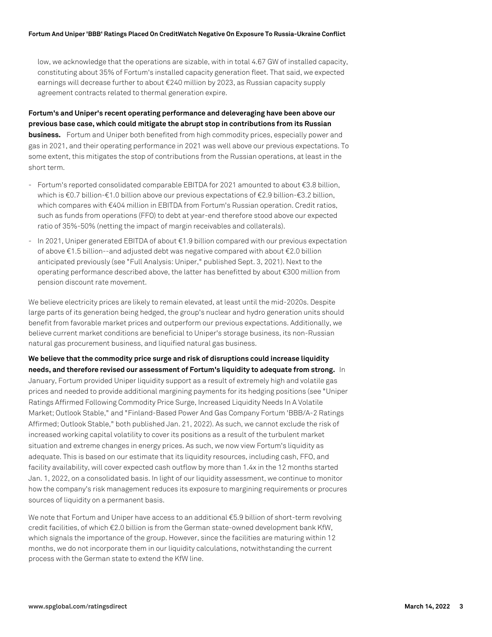low, we acknowledge that the operations are sizable, with in total 4.67 GW of installed capacity, constituting about 35% of Fortum's installed capacity generation fleet. That said, we expected earnings will decrease further to about €240 million by 2023, as Russian capacity supply agreement contracts related to thermal generation expire.

**Fortum's and Uniper's recent operating performance and deleveraging have been above our previous base case, which could mitigate the abrupt stop in contributions from its Russian business.** Fortum and Uniper both benefited from high commodity prices, especially power and gas in 2021, and their operating performance in 2021 was well above our previous expectations. To some extent, this mitigates the stop of contributions from the Russian operations, at least in the short term.

- Fortum's reported consolidated comparable EBITDA for 2021 amounted to about €3.8 billion, which is €0.7 billion-€1.0 billion above our previous expectations of €2.9 billion-€3.2 billion, which compares with €404 million in EBITDA from Fortum's Russian operation. Credit ratios, such as funds from operations (FFO) to debt at year-end therefore stood above our expected ratio of 35%-50% (netting the impact of margin receivables and collaterals).
- In 2021, Uniper generated EBITDA of about €1.9 billion compared with our previous expectation of above €1.5 billion--and adjusted debt was negative compared with about €2.0 billion anticipated previously (see "Full Analysis: Uniper," published Sept. 3, 2021). Next to the operating performance described above, the latter has benefitted by about €300 million from pension discount rate movement.

We believe electricity prices are likely to remain elevated, at least until the mid-2020s. Despite large parts of its generation being hedged, the group's nuclear and hydro generation units should benefit from favorable market prices and outperform our previous expectations. Additionally, we believe current market conditions are beneficial to Uniper's storage business, its non-Russian natural gas procurement business, and liquified natural gas business.

**We believe that the commodity price surge and risk of disruptions could increase liquidity needs, and therefore revised our assessment of Fortum's liquidity to adequate from strong.** In January, Fortum provided Uniper liquidity support as a result of extremely high and volatile gas prices and needed to provide additional margining payments for its hedging positions (see "Uniper Ratings Affirmed Following Commodity Price Surge, Increased Liquidity Needs In A Volatile Market; Outlook Stable," and "Finland-Based Power And Gas Company Fortum 'BBB/A-2 Ratings Affirmed; Outlook Stable," both published Jan. 21, 2022). As such, we cannot exclude the risk of increased working capital volatility to cover its positions as a result of the turbulent market situation and extreme changes in energy prices. As such, we now view Fortum's liquidity as adequate. This is based on our estimate that its liquidity resources, including cash, FFO, and facility availability, will cover expected cash outflow by more than 1.4x in the 12 months started Jan. 1, 2022, on a consolidated basis. In light of our liquidity assessment, we continue to monitor how the company's risk management reduces its exposure to margining requirements or procures sources of liquidity on a permanent basis.

We note that Fortum and Uniper have access to an additional €5.9 billion of short-term revolving credit facilities, of which €2.0 billion is from the German state-owned development bank KfW, which signals the importance of the group. However, since the facilities are maturing within 12 months, we do not incorporate them in our liquidity calculations, notwithstanding the current process with the German state to extend the KfW line.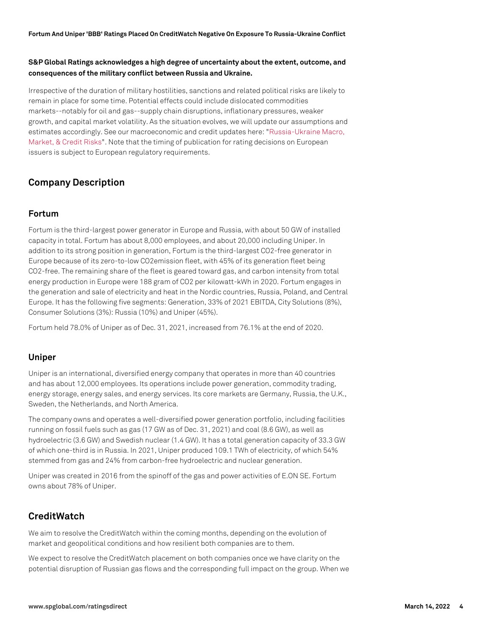#### **S&P Global Ratings acknowledges a high degree of uncertainty about the extent, outcome, and consequences of the military conflict between Russia and Ukraine.**

Irrespective of the duration of military hostilities, sanctions and related political risks are likely to remain in place for some time. Potential effects could include dislocated commodities markets--notably for oil and gas--supply chain disruptions, inflationary pressures, weaker growth, and capital market volatility. As the situation evolves, we will update our assumptions and estimates accordingly. See our macroeconomic and credit updates here[: "Russia-Ukraine Macro,](https://www.spglobal.com/ratings/en/research-insights/topics/russia-ukraine-conflict) [Market, & Credit Risks"](https://www.spglobal.com/ratings/en/research-insights/topics/russia-ukraine-conflict). Note that the timing of publication for rating decisions on European issuers is subject to European regulatory requirements.

## **Company Description**

### **Fortum**

Fortum is the third-largest power generator in Europe and Russia, with about 50 GW of installed capacity in total. Fortum has about 8,000 employees, and about 20,000 including Uniper. In addition to its strong position in generation, Fortum is the third-largest CO2-free generator in Europe because of its zero-to-low CO2emission fleet, with 45% of its generation fleet being CO2-free. The remaining share of the fleet is geared toward gas, and carbon intensity from total energy production in Europe were 188 gram of CO2 per kilowatt-kWh in 2020. Fortum engages in the generation and sale of electricity and heat in the Nordic countries, Russia, Poland, and Central Europe. It has the following five segments: Generation, 33% of 2021 EBITDA, City Solutions (8%), Consumer Solutions (3%): Russia (10%) and Uniper (45%).

Fortum held 78.0% of Uniper as of Dec. 31, 2021, increased from 76.1% at the end of 2020.

## **Uniper**

Uniper is an international, diversified energy company that operates in more than 40 countries and has about 12,000 employees. Its operations include power generation, commodity trading, energy storage, energy sales, and energy services. Its core markets are Germany, Russia, the U.K., Sweden, the Netherlands, and North America.

The company owns and operates a well-diversified power generation portfolio, including facilities running on fossil fuels such as gas (17 GW as of Dec. 31, 2021) and coal (8.6 GW), as well as hydroelectric (3.6 GW) and Swedish nuclear (1.4 GW). It has a total generation capacity of 33.3 GW of which one-third is in Russia. In 2021, Uniper produced 109.1 TWh of electricity, of which 54% stemmed from gas and 24% from carbon-free hydroelectric and nuclear generation.

Uniper was created in 2016 from the spinoff of the gas and power activities of E.ON SE. Fortum owns about 78% of Uniper.

## **CreditWatch**

We aim to resolve the CreditWatch within the coming months, depending on the evolution of market and geopolitical conditions and how resilient both companies are to them.

We expect to resolve the CreditWatch placement on both companies once we have clarity on the potential disruption of Russian gas flows and the corresponding full impact on the group. When we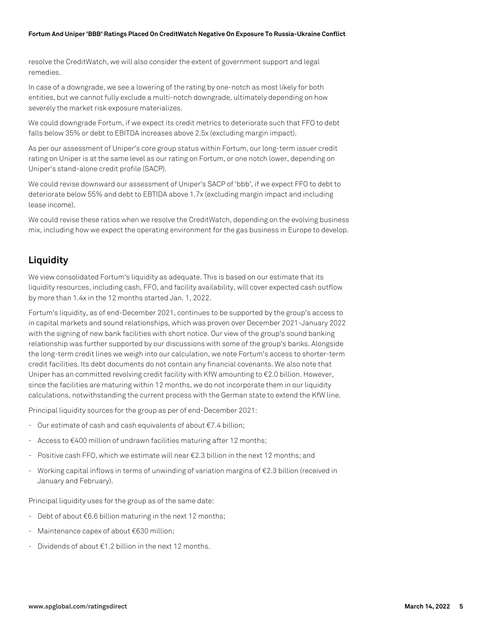#### **Fortum And Uniper 'BBB' Ratings Placed On CreditWatch Negative On Exposure To Russia-Ukraine Conflict**

resolve the CreditWatch, we will also consider the extent of government support and legal remedies.

In case of a downgrade, we see a lowering of the rating by one-notch as most likely for both entities, but we cannot fully exclude a multi-notch downgrade, ultimately depending on how severely the market risk exposure materializes.

We could downgrade Fortum, if we expect its credit metrics to deteriorate such that FFO to debt falls below 35% or debt to EBITDA increases above 2.5x (excluding margin impact).

As per our assessment of Uniper's core group status within Fortum, our long-term issuer credit rating on Uniper is at the same level as our rating on Fortum, or one notch lower, depending on Uniper's stand-alone credit profile (SACP).

We could revise downward our assessment of Uniper's SACP of 'bbb', if we expect FFO to debt to deteriorate below 55% and debt to EBTIDA above 1.7x (excluding margin impact and including lease income).

We could revise these ratios when we resolve the CreditWatch, depending on the evolving business mix, including how we expect the operating environment for the gas business in Europe to develop.

## **Liquidity**

We view consolidated Fortum's liquidity as adequate. This is based on our estimate that its liquidity resources, including cash, FFO, and facility availability, will cover expected cash outflow by more than 1.4x in the 12 months started Jan. 1, 2022.

Fortum's liquidity, as of end-December 2021, continues to be supported by the group's access to in capital markets and sound relationships, which was proven over December 2021-January 2022 with the signing of new bank facilities with short notice. Our view of the group's sound banking relationship was further supported by our discussions with some of the group's banks. Alongside the long-term credit lines we weigh into our calculation, we note Fortum's access to shorter-term credit facilities. Its debt documents do not contain any financial covenants. We also note that Uniper has an committed revolving credit facility with KfW amounting to €2.0 billion. However, since the facilities are maturing within 12 months, we do not incorporate them in our liquidity calculations, notwithstanding the current process with the German state to extend the KfW line.

Principal liquidity sources for the group as per of end-December 2021:

- Our estimate of cash and cash equivalents of about €7.4 billion;
- Access to €400 million of undrawn facilities maturing after 12 months;
- Positive cash FFO, which we estimate will near  $\epsilon$ 2.3 billion in the next 12 months; and
- Working capital inflows in terms of unwinding of variation margins of €2.3 billion (received in January and February).

Principal liquidity uses for the group as of the same date:

- Debt of about €6.6 billion maturing in the next 12 months;
- Maintenance capex of about €630 million;
- Dividends of about  $f(1,2)$  billion in the next 12 months.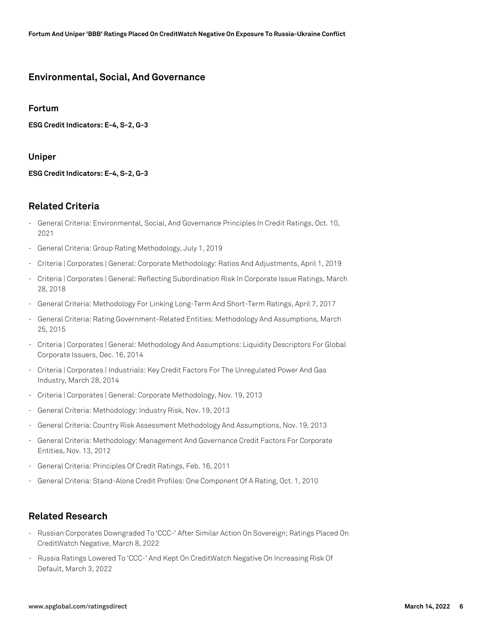## **Environmental, Social, And Governance**

#### **Fortum**

**ESG Credit Indicators: E-4, S-2, G-3**

#### **Uniper**

**ESG Credit Indicators: E-4, S-2, G-3**

## **Related Criteria**

- General Criteria: Environmental, Social, And Governance Principles In Credit Ratings, Oct. 10, 2021
- General Criteria: Group Rating Methodology, July 1, 2019
- Criteria | Corporates | General: Corporate Methodology: Ratios And Adjustments, April 1, 2019
- Criteria | Corporates | General: Reflecting Subordination Risk In Corporate Issue Ratings, March 28, 2018
- General Criteria: Methodology For Linking Long-Term And Short-Term Ratings, April 7, 2017
- General Criteria: Rating Government-Related Entities: Methodology And Assumptions, March 25, 2015
- Criteria | Corporates | General: Methodology And Assumptions: Liquidity Descriptors For Global Corporate Issuers, Dec. 16, 2014
- Criteria | Corporates | Industrials: Key Credit Factors For The Unregulated Power And Gas Industry, March 28, 2014
- Criteria | Corporates | General: Corporate Methodology, Nov. 19, 2013
- General Criteria: Methodology: Industry Risk, Nov. 19, 2013
- General Criteria: Country Risk Assessment Methodology And Assumptions, Nov. 19, 2013
- General Criteria: Methodology: Management And Governance Credit Factors For Corporate Entities, Nov. 13, 2012
- General Criteria: Principles Of Credit Ratings, Feb. 16, 2011
- General Criteria: Stand-Alone Credit Profiles: One Component Of A Rating, Oct. 1, 2010

## **Related Research**

- Russian Corporates Downgraded To 'CCC-' After Similar Action On Sovereign; Ratings Placed On CreditWatch Negative, March 8, 2022
- Russia Ratings Lowered To 'CCC-' And Kept On CreditWatch Negative On Increasing Risk Of Default, March 3, 2022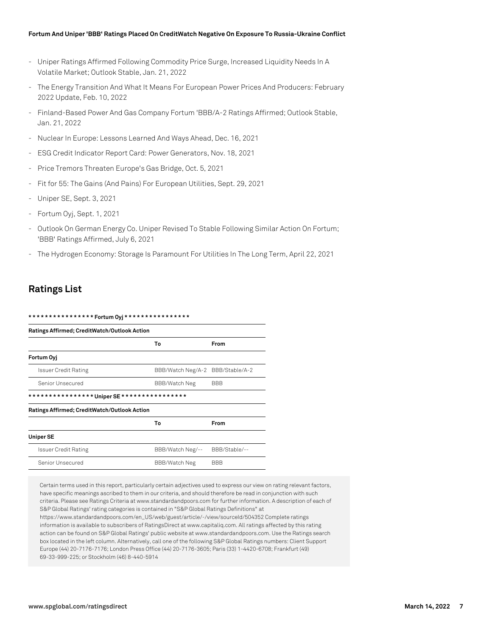#### **Fortum And Uniper 'BBB' Ratings Placed On CreditWatch Negative On Exposure To Russia-Ukraine Conflict**

- Uniper Ratings Affirmed Following Commodity Price Surge, Increased Liquidity Needs In A Volatile Market; Outlook Stable, Jan. 21, 2022
- The Energy Transition And What It Means For European Power Prices And Producers: February 2022 Update, Feb. 10, 2022
- Finland-Based Power And Gas Company Fortum 'BBB/A-2 Ratings Affirmed; Outlook Stable, Jan. 21, 2022
- Nuclear In Europe: Lessons Learned And Ways Ahead, Dec. 16, 2021
- ESG Credit Indicator Report Card: Power Generators, Nov. 18, 2021
- Price Tremors Threaten Europe's Gas Bridge, Oct. 5, 2021
- Fit for 55: The Gains (And Pains) For European Utilities, Sept. 29, 2021
- Uniper SE, Sept. 3, 2021
- Fortum Oyj, Sept. 1, 2021
- Outlook On German Energy Co. Uniper Revised To Stable Following Similar Action On Fortum; 'BBB' Ratings Affirmed, July 6, 2021
- The Hydrogen Economy: Storage Is Paramount For Utilities In The Long Term, April 22, 2021

## **Ratings List**

| Ratings Affirmed; CreditWatch/Outlook Action |                                  |               |
|----------------------------------------------|----------------------------------|---------------|
|                                              |                                  |               |
| Fortum Ovi                                   |                                  |               |
| <b>Issuer Credit Rating</b>                  | BBB/Watch Neg/A-2 BBB/Stable/A-2 |               |
| Senior Unsecured                             | <b>BBB/Watch Neg</b>             | <b>BBB</b>    |
|                                              |                                  |               |
| Ratings Affirmed; CreditWatch/Outlook Action |                                  |               |
|                                              | То                               | From          |
| <b>Uniper SE</b>                             |                                  |               |
| Issuer Credit Rating                         | BBB/Watch Neg/--                 | BBB/Stable/-- |
| Senior Unsecured                             | <b>BBB/Watch Neg</b>             | <b>BBB</b>    |

Certain terms used in this report, particularly certain adjectives used to express our view on rating relevant factors, have specific meanings ascribed to them in our criteria, and should therefore be read in conjunction with such criteria. Please see Ratings Criteria at www.standardandpoors.com for further information. A description of each of S&P Global Ratings' rating categories is contained in "S&P Global Ratings Definitions" at

https://www.standardandpoors.com/en\_US/web/guest/article/-/view/sourceId/504352 Complete ratings information is available to subscribers of RatingsDirect at www.capitaliq.com. All ratings affected by this rating action can be found on S&P Global Ratings' public website at www.standardandpoors.com. Use the Ratings search box located in the left column. Alternatively, call one of the following S&P Global Ratings numbers: Client Support Europe (44) 20-7176-7176; London Press Office (44) 20-7176-3605; Paris (33) 1-4420-6708; Frankfurt (49) 69-33-999-225; or Stockholm (46) 8-440-5914